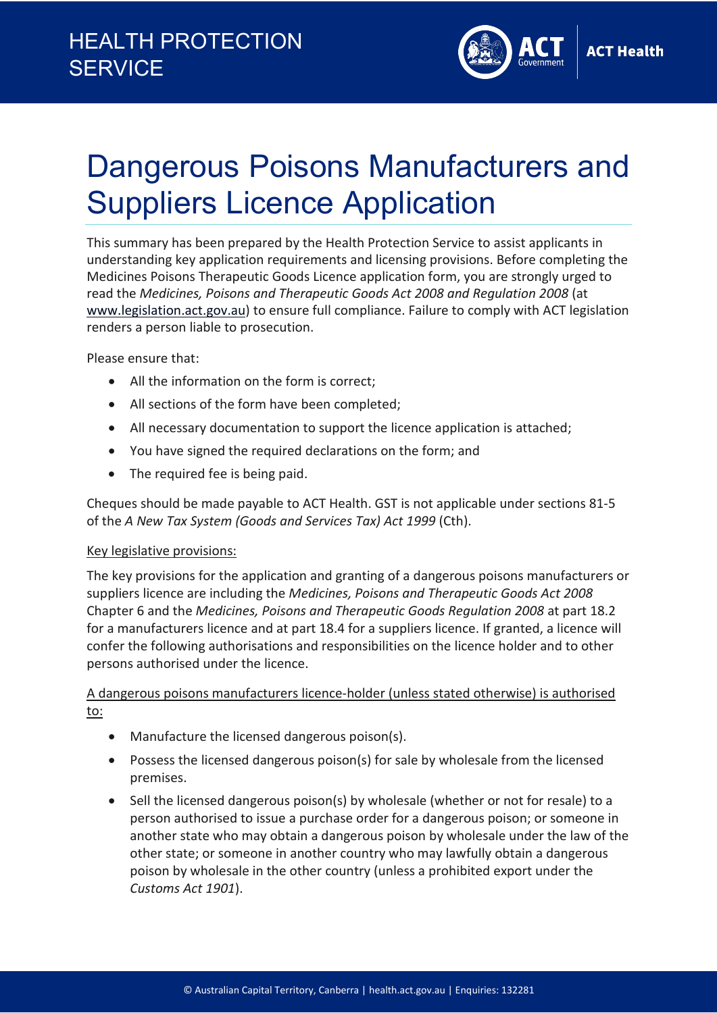# HEALTH PROTECTION **SERVICE**



# Dangerous Poisons Manufacturers and Suppliers Licence Application

This summary has been prepared by the Health Protection Service to assist applicants in understanding key application requirements and licensing provisions. Before completing the Medicines Poisons Therapeutic Goods Licence application form, you are strongly urged to read the *Medicines, Poisons and Therapeutic Goods Act 2008 and Regulation 2008* (at [www.legislation.act.gov.au\)](http://www.legislation.act.gov.au/) to ensure full compliance. Failure to comply with ACT legislation renders a person liable to prosecution.

Please ensure that:

- All the information on the form is correct;
- All sections of the form have been completed;
- All necessary documentation to support the licence application is attached;
- You have signed the required declarations on the form; and
- The required fee is being paid.

Cheques should be made payable to ACT Health. GST is not applicable under sections 81-5 of the *A New Tax System (Goods and Services Tax) Act 1999* (Cth).

### Key legislative provisions:

The key provisions for the application and granting of a dangerous poisons manufacturers or suppliers licence are including the *Medicines, Poisons and Therapeutic Goods Act 2008* Chapter 6 and the *Medicines, Poisons and Therapeutic Goods Regulation 2008* at part 18.2 for a manufacturers licence and at part 18.4 for a suppliers licence. If granted, a licence will confer the following authorisations and responsibilities on the licence holder and to other persons authorised under the licence.

A dangerous poisons manufacturers licence-holder (unless stated otherwise) is authorised to:

- Manufacture the licensed dangerous poison(s).
- Possess the licensed dangerous poison(s) for sale by wholesale from the licensed premises.
- Sell the licensed dangerous poison(s) by wholesale (whether or not for resale) to a person authorised to issue a purchase order for a dangerous poison; or someone in another state who may obtain a dangerous poison by wholesale under the law of the other state; or someone in another country who may lawfully obtain a dangerous poison by wholesale in the other country (unless a prohibited export under the *Customs Act 1901*).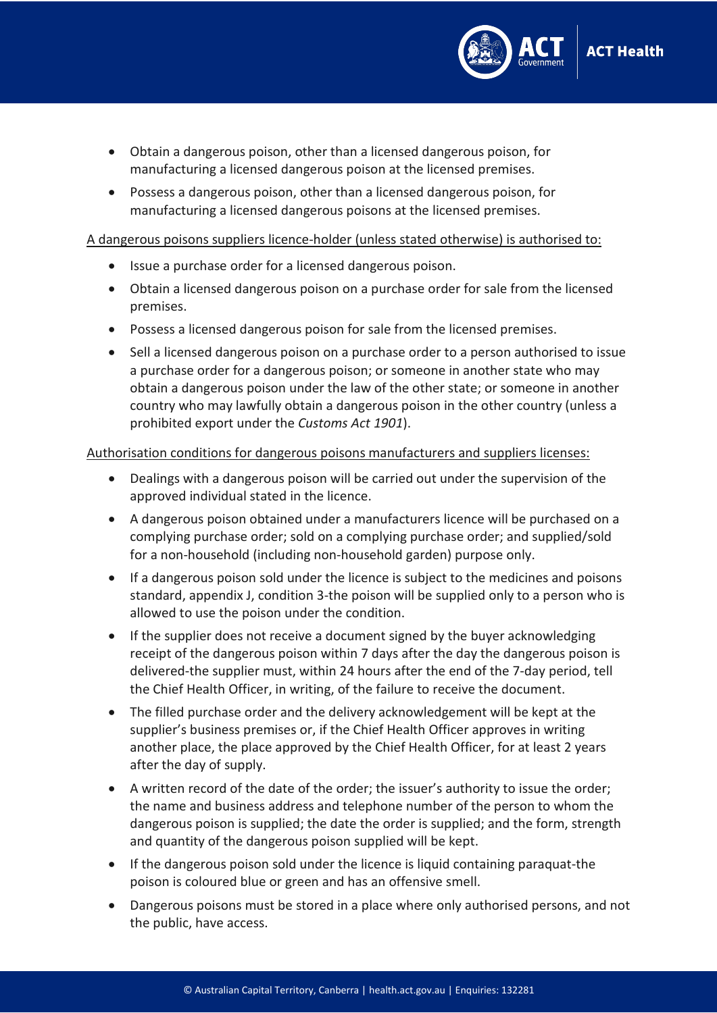

- Obtain a dangerous poison, other than a licensed dangerous poison, for manufacturing a licensed dangerous poison at the licensed premises.
- Possess a dangerous poison, other than a licensed dangerous poison, for manufacturing a licensed dangerous poisons at the licensed premises.

#### A dangerous poisons suppliers licence-holder (unless stated otherwise) is authorised to:

- Issue a purchase order for a licensed dangerous poison.
- Obtain a licensed dangerous poison on a purchase order for sale from the licensed premises.
- Possess a licensed dangerous poison for sale from the licensed premises.
- Sell a licensed dangerous poison on a purchase order to a person authorised to issue a purchase order for a dangerous poison; or someone in another state who may obtain a dangerous poison under the law of the other state; or someone in another country who may lawfully obtain a dangerous poison in the other country (unless a prohibited export under the *Customs Act 1901*).

## Authorisation conditions for dangerous poisons manufacturers and suppliers licenses:

- Dealings with a dangerous poison will be carried out under the supervision of the approved individual stated in the licence.
- A dangerous poison obtained under a manufacturers licence will be purchased on a complying purchase order; sold on a complying purchase order; and supplied/sold for a non-household (including non-household garden) purpose only.
- If a dangerous poison sold under the licence is subject to the medicines and poisons standard, appendix J, condition 3-the poison will be supplied only to a person who is allowed to use the poison under the condition.
- If the supplier does not receive a document signed by the buyer acknowledging receipt of the dangerous poison within 7 days after the day the dangerous poison is delivered-the supplier must, within 24 hours after the end of the 7-day period, tell the Chief Health Officer, in writing, of the failure to receive the document.
- The filled purchase order and the delivery acknowledgement will be kept at the supplier's business premises or, if the Chief Health Officer approves in writing another place, the place approved by the Chief Health Officer, for at least 2 years after the day of supply.
- A written record of the date of the order; the issuer's authority to issue the order; the name and business address and telephone number of the person to whom the dangerous poison is supplied; the date the order is supplied; and the form, strength and quantity of the dangerous poison supplied will be kept.
- If the dangerous poison sold under the licence is liquid containing paraquat-the poison is coloured blue or green and has an offensive smell.
- Dangerous poisons must be stored in a place where only authorised persons, and not the public, have access.